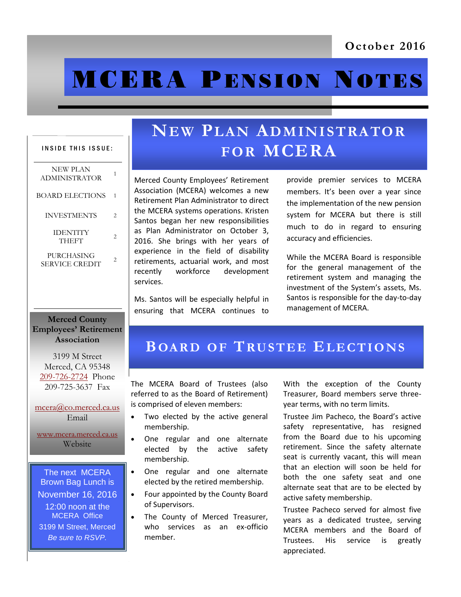# **MCERA PENSION NOTES**

## **NEW PLAN ADMINISTRATOR FOR MCERA**

Merced County Employees' Retirement Association (MCERA) welcomes a new Retirement Plan Administrator to direct the MCERA systems operations. Kristen Santos began her new responsibilities as Plan Administrator on October 3, 2016. She brings with her years of experience in the field of disability retirements, actuarial work, and most recently workforce development services.

Ms. Santos will be especially helpful in ensuring that MCERA continues to

provide premier services to MCERA members. It's been over a year since the implementation of the new pension system for MCERA but there is still much to do in regard to ensuring accuracy and efficiencies.

While the MCERA Board is responsible for the general management of the retirement system and managing the investment of the System's assets, Ms. Santos is responsible for the day-to-day management of MCERA.

#### **Merced County Employees' Retirement Association**

INSIDE THIS ISSUE:

BOARD ELECTIONS 1

INVESTMENTS 2

JENIII 1<br>THEFT 2

NEW PLAN ADMINISTRATOR <sup>1</sup>

IDENTITY

**PURCHASING** SERVICE CREDIT<sup>2</sup>

3199 M Street Merced, CA 95348 [209-726-2724](tel:+12097262724) Phone 209-725-3637 Fax

[mcera@co.merced.ca.us](mailto:mcera@co.merced.ca.us) Email

[www.mcera.merced.ca.us](http://www.mcera.merced.ca.us)  Website

The next MCERA Brown Bag Lunch is November 16, 2016 12:00 noon at the MCERA Office 3199 M Street, Merced *Be sure to RSVP.*

## **BOA R D O F TRU S T E E EL E C T I O N S**

The MCERA Board of Trustees (also referred to as the Board of Retirement) is comprised of eleven members:

- Two elected by the active general membership.
- One regular and one alternate elected by the active safety membership.
	- One regular and one alternate elected by the retired membership.
- Four appointed by the County Board of Supervisors.
- The County of Merced Treasurer, who services as an ex-officio member.

With the exception of the County Treasurer, Board members serve threeyear terms, with no term limits.

Trustee Jim Pacheco, the Board's active safety representative, has resigned from the Board due to his upcoming retirement. Since the safety alternate seat is currently vacant, this will mean that an election will soon be held for both the one safety seat and one alternate seat that are to be elected by active safety membership.

Trustee Pacheco served for almost five years as a dedicated trustee, serving MCERA members and the Board of Trustees. His service is greatly appreciated.